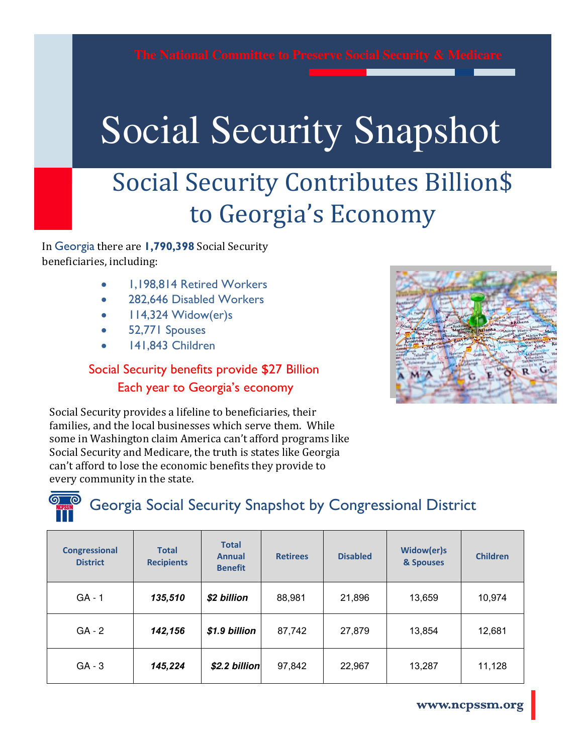# Social Security Snapshot Social Security Snapshot

# Social Security Contributes Billion\$ to Georgia's Economy

In Georgia there are **1,790,398** Social Security beneficiaries, including:

- 1,198,814 Retired Workers
- 282,646 Disabled Workers
- 114,324 Widow(er)s
- 52,771 Spouses
- 141,843 Children

### Social Security benefits provide \$27 Billion Each year to Georgia's economy



Social Security provides a lifeline to beneficiaries, their families, and the local businesses which serve them. While some in Washington claim America can't afford programs like Social Security and Medicare, the truth is states like Georgia can't afford to lose the economic benefits they provide to every community in the state.

### Georgia Social Security Snapshot by Congressional District

| <b>Congressional</b><br><b>District</b> | <b>Total</b><br><b>Recipients</b> | <b>Total</b><br><b>Annual</b><br><b>Benefit</b> | <b>Retirees</b> | <b>Disabled</b> | Widow(er)s<br>& Spouses | <b>Children</b> |
|-----------------------------------------|-----------------------------------|-------------------------------------------------|-----------------|-----------------|-------------------------|-----------------|
| $GA - 1$                                | 135,510                           | \$2 billion                                     | 88,981          | 21,896          | 13,659                  | 10,974          |
| $GA - 2$                                | 142,156                           | \$1.9 billion                                   | 87,742          | 27,879          | 13,854                  | 12,681          |
| $GA - 3$                                | 145,224                           | \$2.2 billion                                   | 97,842          | 22,967          | 13,287                  | 11,128          |